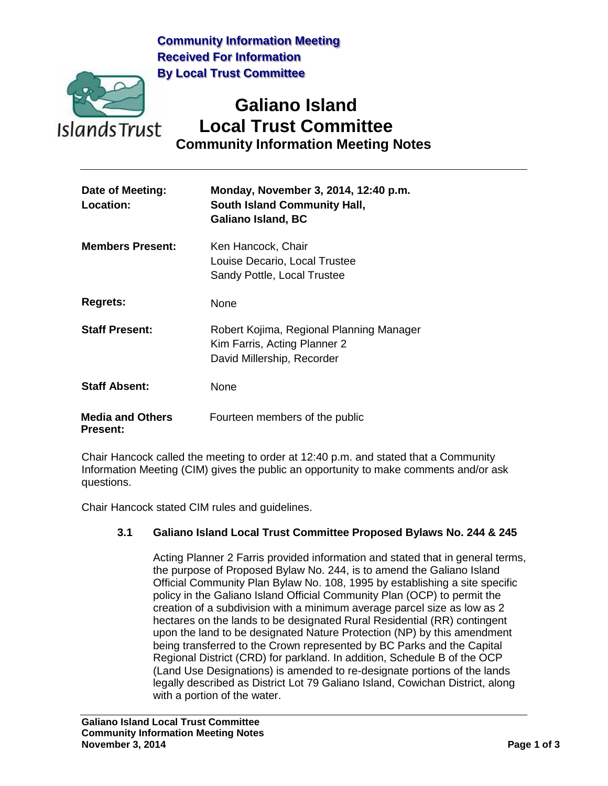**Community Information Meeting Received For Information By Local Trust Committee**



**Galiano Island Local Trust Committee Community Information Meeting Notes**

| Date of Meeting:<br>Location:              | Monday, November 3, 2014, 12:40 p.m.<br><b>South Island Community Hall,</b><br>Galiano Island, BC      |
|--------------------------------------------|--------------------------------------------------------------------------------------------------------|
| <b>Members Present:</b>                    | Ken Hancock, Chair<br>Louise Decario, Local Trustee<br>Sandy Pottle, Local Trustee                     |
| Regrets:                                   | <b>None</b>                                                                                            |
| <b>Staff Present:</b>                      | Robert Kojima, Regional Planning Manager<br>Kim Farris, Acting Planner 2<br>David Millership, Recorder |
| <b>Staff Absent:</b>                       | <b>None</b>                                                                                            |
| <b>Media and Others</b><br><b>Present:</b> | Fourteen members of the public                                                                         |

Chair Hancock called the meeting to order at 12:40 p.m. and stated that a Community Information Meeting (CIM) gives the public an opportunity to make comments and/or ask questions.

Chair Hancock stated CIM rules and guidelines.

## **3.1 Galiano Island Local Trust Committee Proposed Bylaws No. 244 & 245**

Acting Planner 2 Farris provided information and stated that in general terms, the purpose of Proposed Bylaw No. 244, is to amend the Galiano Island Official Community Plan Bylaw No. 108, 1995 by establishing a site specific policy in the Galiano Island Official Community Plan (OCP) to permit the creation of a subdivision with a minimum average parcel size as low as 2 hectares on the lands to be designated Rural Residential (RR) contingent upon the land to be designated Nature Protection (NP) by this amendment being transferred to the Crown represented by BC Parks and the Capital Regional District (CRD) for parkland. In addition, Schedule B of the OCP (Land Use Designations) is amended to re-designate portions of the lands legally described as District Lot 79 Galiano Island, Cowichan District, along with a portion of the water.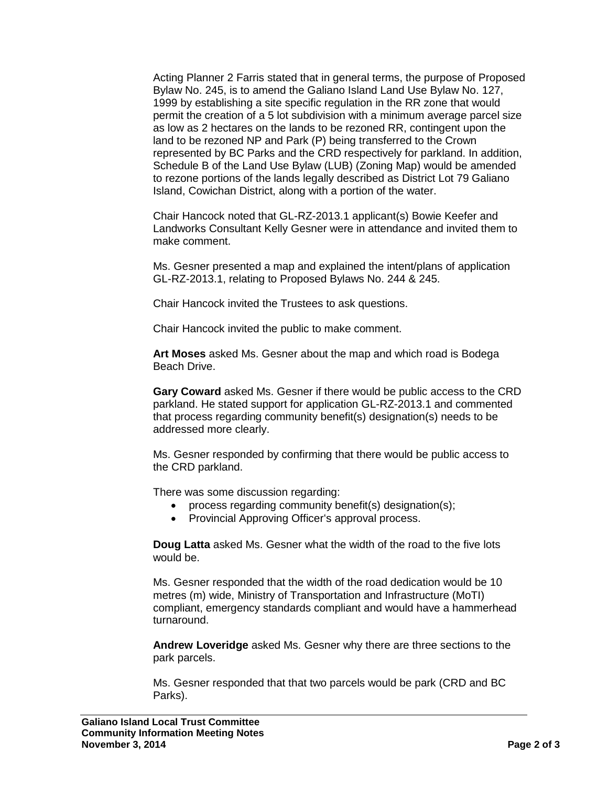Acting Planner 2 Farris stated that in general terms, the purpose of Proposed Bylaw No. 245, is to amend the Galiano Island Land Use Bylaw No. 127, 1999 by establishing a site specific regulation in the RR zone that would permit the creation of a 5 lot subdivision with a minimum average parcel size as low as 2 hectares on the lands to be rezoned RR, contingent upon the land to be rezoned NP and Park (P) being transferred to the Crown represented by BC Parks and the CRD respectively for parkland. In addition, Schedule B of the Land Use Bylaw (LUB) (Zoning Map) would be amended to rezone portions of the lands legally described as District Lot 79 Galiano Island, Cowichan District, along with a portion of the water.

Chair Hancock noted that GL-RZ-2013.1 applicant(s) Bowie Keefer and Landworks Consultant Kelly Gesner were in attendance and invited them to make comment.

Ms. Gesner presented a map and explained the intent/plans of application GL-RZ-2013.1, relating to Proposed Bylaws No. 244 & 245.

Chair Hancock invited the Trustees to ask questions.

Chair Hancock invited the public to make comment.

**Art Moses** asked Ms. Gesner about the map and which road is Bodega Beach Drive.

**Gary Coward** asked Ms. Gesner if there would be public access to the CRD parkland. He stated support for application GL-RZ-2013.1 and commented that process regarding community benefit(s) designation(s) needs to be addressed more clearly.

Ms. Gesner responded by confirming that there would be public access to the CRD parkland.

There was some discussion regarding:

- process regarding community benefit(s) designation(s);
- Provincial Approving Officer's approval process.

**Doug Latta** asked Ms. Gesner what the width of the road to the five lots would be.

Ms. Gesner responded that the width of the road dedication would be 10 metres (m) wide, Ministry of Transportation and Infrastructure (MoTI) compliant, emergency standards compliant and would have a hammerhead turnaround.

**Andrew Loveridge** asked Ms. Gesner why there are three sections to the park parcels.

Ms. Gesner responded that that two parcels would be park (CRD and BC Parks).